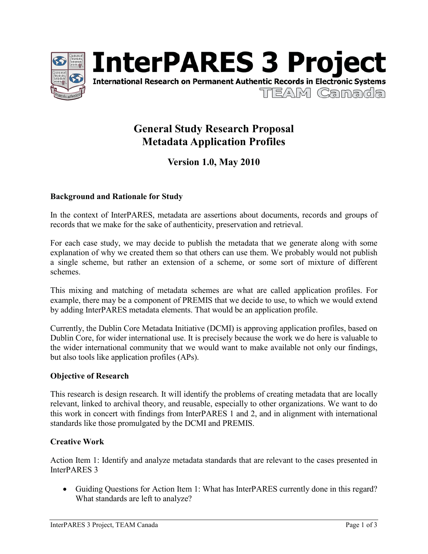



# **General Study Research Proposal Metadata Application Profiles**

## **Version 1.0, May 2010**

#### **Background and Rationale for Study**

In the context of InterPARES, metadata are assertions about documents, records and groups of records that we make for the sake of authenticity, preservation and retrieval.

For each case study, we may decide to publish the metadata that we generate along with some explanation of why we created them so that others can use them. We probably would not publish a single scheme, but rather an extension of a scheme, or some sort of mixture of different schemes.

This mixing and matching of metadata schemes are what are called application profiles. For example, there may be a component of PREMIS that we decide to use, to which we would extend by adding InterPARES metadata elements. That would be an application profile.

Currently, the Dublin Core Metadata Initiative (DCMI) is approving application profiles, based on Dublin Core, for wider international use. It is precisely because the work we do here is valuable to the wider international community that we would want to make available not only our findings, but also tools like application profiles (APs).

#### **Objective of Research**

This research is design research. It will identify the problems of creating metadata that are locally relevant, linked to archival theory, and reusable, especially to other organizations. We want to do this work in concert with findings from InterPARES 1 and 2, and in alignment with international standards like those promulgated by the DCMI and PREMIS.

#### **Creative Work**

Action Item 1: Identify and analyze metadata standards that are relevant to the cases presented in InterPARES 3

• Guiding Questions for Action Item 1: What has InterPARES currently done in this regard? What standards are left to analyze?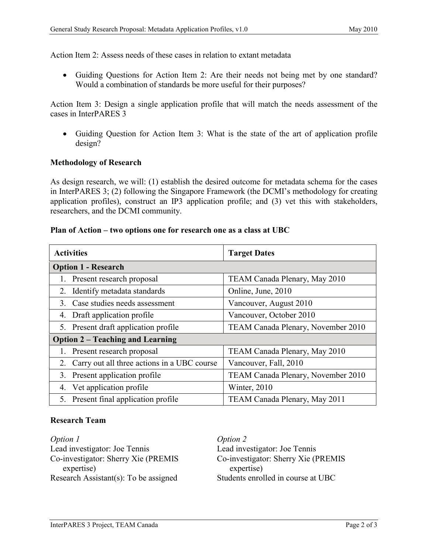Action Item 2: Assess needs of these cases in relation to extant metadata

• Guiding Questions for Action Item 2: Are their needs not being met by one standard? Would a combination of standards be more useful for their purposes?

Action Item 3: Design a single application profile that will match the needs assessment of the cases in InterPARES 3

• Guiding Question for Action Item 3: What is the state of the art of application profile design?

#### **Methodology of Research**

As design research, we will: (1) establish the desired outcome for metadata schema for the cases in InterPARES 3; (2) following the Singapore Framework (the DCMI's methodology for creating application profiles), construct an IP3 application profile; and (3) vet this with stakeholders, researchers, and the DCMI community.

#### **Plan of Action – two options one for research one as a class at UBC**

| <b>Activities</b>                              | <b>Target Dates</b>                |
|------------------------------------------------|------------------------------------|
| <b>Option 1 - Research</b>                     |                                    |
| 1. Present research proposal                   | TEAM Canada Plenary, May 2010      |
| 2. Identify metadata standards                 | Online, June, 2010                 |
| 3. Case studies needs assessment               | Vancouver, August 2010             |
| 4. Draft application profile                   | Vancouver, October 2010            |
| 5. Present draft application profile           | TEAM Canada Plenary, November 2010 |
| <b>Option 2 – Teaching and Learning</b>        |                                    |
| 1. Present research proposal                   | TEAM Canada Plenary, May 2010      |
| 2. Carry out all three actions in a UBC course | Vancouver, Fall, 2010              |
| 3. Present application profile                 | TEAM Canada Plenary, November 2010 |
| 4. Vet application profile                     | Winter, 2010                       |
| 5. Present final application profile           | TEAM Canada Plenary, May 2011      |

#### **Research Team**

*Option 1* Lead investigator: Joe Tennis Co-investigator: Sherry Xie (PREMIS expertise) Research Assistant(s): To be assigned

*Option 2* Lead investigator: Joe Tennis Co-investigator: Sherry Xie (PREMIS expertise) Students enrolled in course at UBC